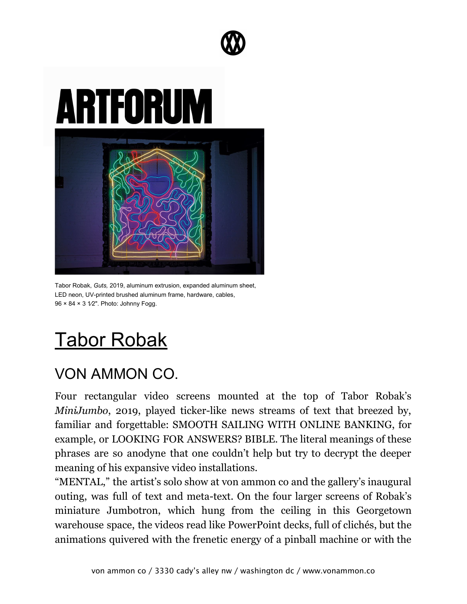



Tabor Robak, *Guts,* 2019, aluminum extrusion, expanded aluminum sheet, LED neon, UV-printed brushed aluminum frame, hardware, cables, 96 × 84 × 3 1⁄2". Photo: Johnny Fogg.

## [Tabor Robak](https://www.artforum.com/print/reviews/201906/tabor-robak-79972)

## VON AMMON CO.

Four rectangular video screens mounted at the top of Tabor Robak's *MiniJumbo*, 2019, played ticker-like news streams of text that breezed by, familiar and forgettable: SMOOTH SAILING WITH ONLINE BANKING, for example, or LOOKING FOR ANSWERS? BIBLE. The literal meanings of these phrases are so anodyne that one couldn't help but try to decrypt the deeper meaning of his expansive video installations.

"MENTAL," the artist's solo show at von ammon co and the gallery's inaugural outing, was full of text and meta-text. On the four larger screens of Robak's miniature Jumbotron, which hung from the ceiling in this Georgetown warehouse space, the videos read like PowerPoint decks, full of clichés, but the animations quivered with the frenetic energy of a pinball machine or with the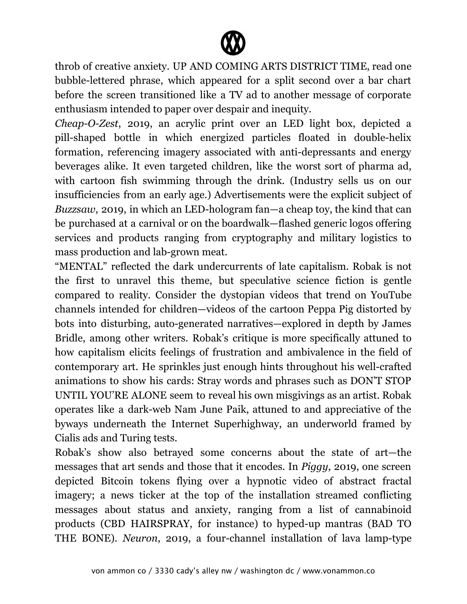

throb of creative anxiety. UP AND COMING ARTS DISTRICT TIME, read one bubble-lettered phrase, which appeared for a split second over a bar chart before the screen transitioned like a TV ad to another message of corporate enthusiasm intended to paper over despair and inequity.

*Cheap-O-Zest*, 2019, an acrylic print over an LED light box, depicted a pill-shaped bottle in which energized particles floated in double-helix formation, referencing imagery associated with anti-depressants and energy beverages alike. It even targeted children, like the worst sort of pharma ad, with cartoon fish swimming through the drink. (Industry sells us on our insufficiencies from an early age.) Advertisements were the explicit subject of *Buzzsaw*, 2019, in which an LED-hologram fan—a cheap toy, the kind that can be purchased at a carnival or on the boardwalk—flashed generic logos offering services and products ranging from cryptography and military logistics to mass production and lab-grown meat.

"MENTAL" reflected the dark undercurrents of late capitalism. Robak is not the first to unravel this theme, but speculative science fiction is gentle compared to reality. Consider the dystopian videos that trend on YouTube channels intended for children—videos of the cartoon Peppa Pig distorted by bots into disturbing, auto-generated narratives—explored in depth by James Bridle, among other writers. Robak's critique is more specifically attuned to how capitalism elicits feelings of frustration and ambivalence in the field of contemporary art. He sprinkles just enough hints throughout his well-crafted animations to show his cards: Stray words and phrases such as DON'T STOP UNTIL YOU'RE ALONE seem to reveal his own misgivings as an artist. Robak operates like a dark-web Nam June Paik, attuned to and appreciative of the byways underneath the Internet Superhighway, an underworld framed by Cialis ads and Turing tests.

Robak's show also betrayed some concerns about the state of art—the messages that art sends and those that it encodes. In *Piggy*, 2019, one screen depicted Bitcoin tokens flying over a hypnotic video of abstract fractal imagery; a news ticker at the top of the installation streamed conflicting messages about status and anxiety, ranging from a list of cannabinoid products (CBD HAIRSPRAY, for instance) to hyped-up mantras (BAD TO THE BONE). *Neuron*, 2019, a four-channel installation of lava lamp-type